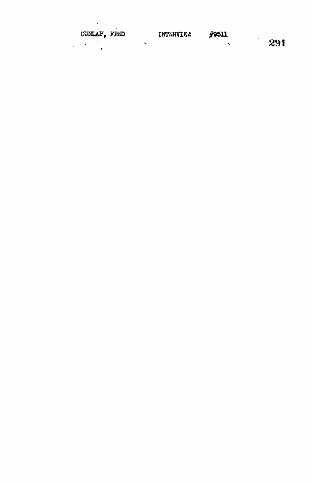DUNLAP, FRED INTERVIEW #9511  $\begin{array}{c} \hline 291 \end{array}$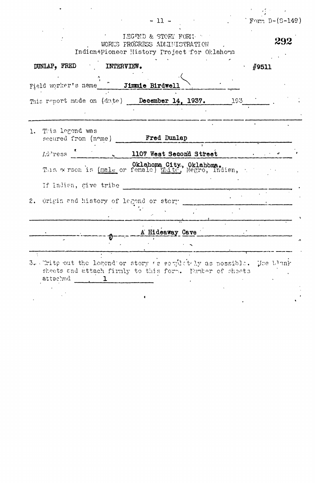|    | $-11 -$                                                                                                                            | Form $D-(S-149)$ |
|----|------------------------------------------------------------------------------------------------------------------------------------|------------------|
|    | IEGEND & STORY FORM.<br>WORKS PROCRESS ADMINISTRATION<br>Indian+Pioneer History Project for Oklahoma                               | 292              |
|    | INTERVIEW.<br>DUNLAP, FRED                                                                                                         | #9511            |
|    | Field worker's name [15] Jimmie Birdwell                                                                                           |                  |
|    | This report made on (date) December 14, 1937. 1938                                                                                 |                  |
|    |                                                                                                                                    |                  |
| 1. | This legend was<br><b>Fred Dunlap</b><br>secured from (nome)                                                                       |                  |
|    | Address<br>1107 West Second Street                                                                                                 |                  |
|    | This wrson is (male or female) White, Negro, Indian,                                                                               |                  |
|    | If Indian, give tribe                                                                                                              |                  |
| 2. | Origin and history of lagend or stery                                                                                              |                  |
|    | A Hideaway Cave                                                                                                                    |                  |
|    |                                                                                                                                    |                  |
|    | 3. Trite out the legend or story as completely as possible.<br>sheets and attach firmly to this form. Number of sheets<br>attached | Jee blank        |
|    |                                                                                                                                    |                  |